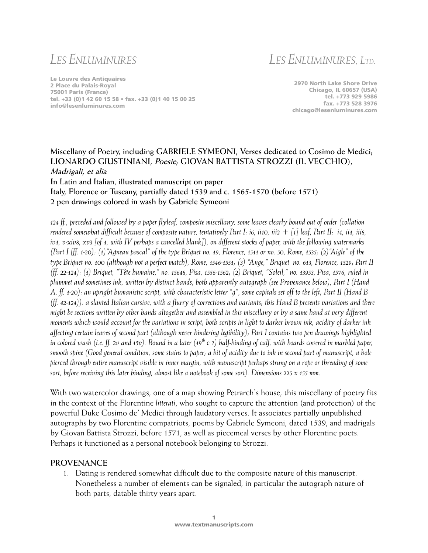# *LES ENLUMINURES*

*LES ENLUMINURES, LTD.*

Le Louvre des Antiquaires 2 Place du Palais-Royal 75001 Paris (France) tel. +33 (0)1 42 60 15 58 • fax. +33 (0)1 40 15 00 25 info@lesenluminures.com

2970 North Lake Shore Drive Chicago, IL 60657 (USA) tel. +773 929 5986 fax. +773 528 3976 chicago@lesenluminures.com

### **Miscellany of Poetry, including GABRIELE SYMEONI, Verses dedicated to Cosimo de Medici; LIONARDO GIUSTINIANI, Poesie; GIOVAN BATTISTA STROZZI (IL VECCHIO), Madrigali, et alia**

**In Latin and Italian, illustrated manuscript on paper Italy, Florence or Tuscany, partially dated 1539 and c. 1565-1570 (before 1571) 2 pen drawings colored in wash by Gabriele Symeoni**

*124 ff., preceded and followed by a paper flyleaf, composite miscellany, some leaves clearly bound out of order (collation rendered somewhat difficult because of composite nature, tentatively Part I: i6, ii10, iii2 + [1] leaf; Part II: i4, ii4, iii8, iv4, v-xiv8, xv3 [of 4, with IV perhaps a cancelled blank]), on different stocks of paper, with the following watermarks (Part I (ff. 1-20): (1)"Agneau pascal" of the type Briquet no. 49, Florence, 1511 or no. 50, Rome, 1535; (2)"Aigle" of the type Briquet no. 100 (although not a perfect match), Rome, 1546-1551; (3) "Ange," Briquet no. 613, Florence, 1529; Part II (ff. 22-124): (1) Briquet, "Tête humaine," no. 15648, Pisa, 1556-1562; (2) Briquet, "Soleil," no. 13953, Pisa, 1576, ruled in plummet and sometimes ink, written by distinct hands, both apparently autograph (see Provenance below), Part I (Hand A, ff. 1-20): an upright humanistic script, with characteristic letter "g", some capitals set off to the left; Part II (Hand B (ff. 42-124)): a slanted Italian cursive, with a flurry of corrections and variants; this Hand B presents variations and there might be sections written by other hands altogether and assembled in this miscellany or by a same hand at very different moments which would account for the variations in script; both scripts in light to darker brown ink, acidity of darker ink affecting certain leaves of second part (although never hindering legibility); Part I contains two pen drawings highlighted in colored wash (i.e. ff. 2v and 15v). Bound in a later (19th c.?) half-binding of calf, with boards covered in marbled paper, smooth spine (Good general condition, some stains to paper; a bit of acidity due to ink in second part of manuscript, a hole pierced through entire manuscript visible in inner margin, with manuscript perhaps strung on a rope or threading of some sort, before receiving this later binding, almost like a notebook of some sort). Dimensions 225 x 155 mm.* 

With two watercolor drawings, one of a map showing Petrarch's house, this miscellany of poetry fits in the context of the Florentine *litterati*, who sought to capture the attention (and protection) of the powerful Duke Cosimo de' Medici through laudatory verses. It associates partially unpublished autographs by two Florentine compatriots, poems by Gabriele Symeoni, dated 1539, and madrigals by Giovan Battista Strozzi, before 1571, as well as piecemeal verses by other Florentine poets. Perhaps it functioned as a personal notebook belonging to Strozzi.

#### **PROVENANCE**

1. Dating is rendered somewhat difficult due to the composite nature of this manuscript. Nonetheless a number of elements can be signaled, in particular the autograph nature of both parts, datable thirty years apart.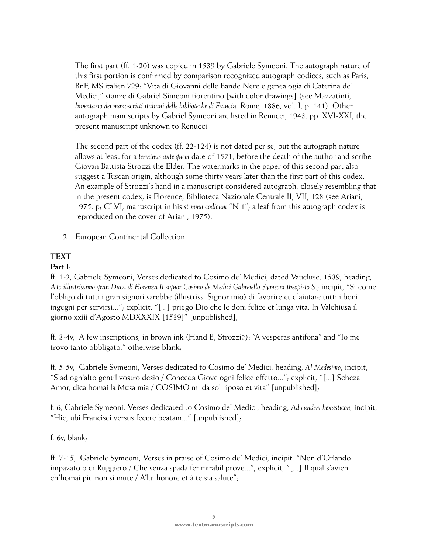The first part (ff. 1-20) was copied in 1539 by Gabriele Symeoni. The autograph nature of this first portion is confirmed by comparison recognized autograph codices, such as Paris, BnF, MS italien 729: "Vita di Giovanni delle Bande Nere e genealogia di Caterina de' Medici," stanze di Gabriel Simeoni fiorentino [with color drawings] (see Mazzatinti, *Inventario dei manoscritti italiani delle biblioteche di Franci*a, Rome, 1886, vol. I, p. 141). Other autograph manuscripts by Gabriel Symeoni are listed in Renucci, 1943, pp. XVI-XXI, the present manuscript unknown to Renucci.

The second part of the codex (ff. 22-124) is not dated per se, but the autograph nature allows at least for a *terminus ante quem* date of 1571, before the death of the author and scribe Giovan Battista Strozzi the Elder. The watermarks in the paper of this second part also suggest a Tuscan origin, although some thirty years later than the first part of this codex. An example of Strozzi's hand in a manuscript considered autograph, closely resembling that in the present codex, is Florence, Biblioteca Nazionale Centrale II, VII, 128 (see Ariani, 1975, p; CLVI, manuscript in his *stemma codicum* "N 1"; a leaf from this autograph codex is reproduced on the cover of Ariani, 1975).

2. European Continental Collection.

# **TEXT**

# **Part I:**

ff. 1-2, Gabriele Symeoni, Verses dedicated to Cosimo de' Medici, dated Vaucluse, 1539, heading, *A'lo illustrissimo gran Duca di Fiorenza Il signor Cosimo de Medici Gabreiello Symeoni theopisto S*.; incipit, "Si come l'obligo di tutti i gran signori sarebbe (illustriss. Signor mio) di favorire et d'aiutare tutti i boni ingegni per servirsi..."; explicit, "[...] priego Dio che le doni felice et lunga vita. In Valchiusa il giorno xxiii d'Agosto MDXXXIX [1539]" [unpublished];

ff. 3-4v, A few inscriptions, in brown ink (Hand B, Strozzi?): "A vesperas antifona" and "Io me trovo tanto obbligato," otherwise blank;

ff. 5-5v, Gabriele Symeoni, Verses dedicated to Cosimo de' Medici, heading, *Al Medesimo*, incipit, "S'ad ogn'alto gentil vostro desio / Conceda Giove ogni felice effetto..."; explicit, "[...] Scheza Amor, dica homai la Musa mia / COSIMO mi da sol riposo et vita" [unpublished];

f. 6, Gabriele Symeoni, Verses dedicated to Cosimo de' Medici, heading, *Ad eundem hexasticon,* incipit, "Hic, ubi Francisci versus fecere beatam..." [unpublished];

f. 6v, blank;

ff. 7-15, Gabriele Symeoni, Verses in praise of Cosimo de' Medici, incipit, "Non d'Orlando impazato o di Ruggiero / Che senza spada fer mirabil prove..."; explicit, "[...] Il qual s'avien ch'homai piu non si mute / A'lui honore et à te sia salute";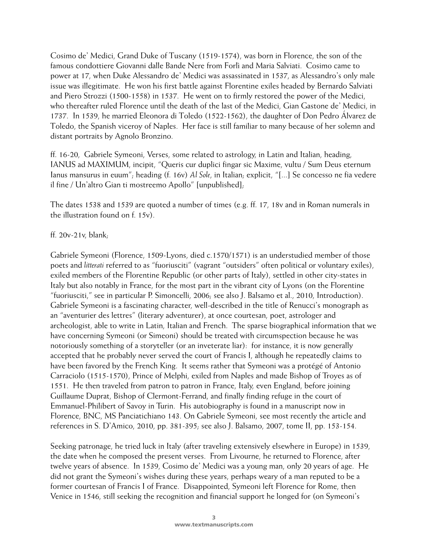Cosimo de' Medici, Grand Duke of Tuscany (1519-1574), was born in Florence, the son of the famous condottiere Giovanni dalle Bande Nere from Forlì and Maria Salviati. Cosimo came to power at 17, when Duke Alessandro de' Medici was assassinated in 1537, as Alessandro's only male issue was illegitimate. He won his first battle against Florentine exiles headed by Bernardo Salviati and Piero Strozzi (1500-1558) in 1537. He went on to firmly restored the power of the Medici, who thereafter ruled Florence until the death of the last of the Medici, Gian Gastone de' Medici, in 1737. In 1539, he married Eleonora di Toledo (1522-1562), the daughter of Don Pedro Álvarez de Toledo, the Spanish viceroy of Naples. Her face is still familiar to many because of her solemn and distant portraits by Agnolo Bronzino.

ff. 16-20, Gabriele Symeoni, Verses, some related to astrology, in Latin and Italian, heading, IANUS ad MAXIMUM, incipit, "Queris cur duplici fingar sic Maxime, vultu / Sum Deus eternum Ianus mansurus in euum"; heading (f. 16v) *Al Sole*, in Italian; explicit, "[...] Se concesso ne fia vedere il fine / Un'altro Gian ti mostreemo Apollo" [unpublished];

The dates 1538 and 1539 are quoted a number of times (e.g. ff. 17, 18v and in Roman numerals in the illustration found on f. 15v).

#### ff.  $20v-21v$ , blank,

Gabriele Symeoni (Florence, 1509-Lyons, died c.1570/1571) is an understudied member of those poets and *litterati* referred to as "fuoriusciti" (vagrant "outsiders" often political or voluntary exiles), exiled members of the Florentine Republic (or other parts of Italy), settled in other city-states in Italy but also notably in France, for the most part in the vibrant city of Lyons (on the Florentine "fuoriusciti," see in particular P. Simoncelli, 2006; see also J. Balsamo et al., 2010, Introduction). Gabriele Symeoni is a fascinating character, well-described in the title of Renucci's monograph as an "aventurier des lettres" (literary adventurer), at once courtesan, poet, astrologer and archeologist, able to write in Latin, Italian and French. The sparse biographical information that we have concerning Symeoni (or Simeoni) should be treated with circumspection because he was notoriously something of a storyteller (or an inveterate liar): for instance, it is now generally accepted that he probably never served the court of Francis I, although he repeatedly claims to have been favored by the French King. It seems rather that Symeoni was a protégé of Antonio Carraciolo (1515-1570), Prince of Melphi, exiled from Naples and made Bishop of Troyes as of 1551. He then traveled from patron to patron in France, Italy, even England, before joining Guillaume Duprat, Bishop of Clermont-Ferrand, and finally finding refuge in the court of Emmanuel-Philibert of Savoy in Turin. His autobiography is found in a manuscript now in Florence, BNC, MS Panciatichiano 143. On Gabriele Symeoni, see most recently the article and references in S. D'Amico, 2010, pp. 381-395; see also J. Balsamo, 2007, tome II, pp. 153-154.

Seeking patronage, he tried luck in Italy (after traveling extensively elsewhere in Europe) in 1539, the date when he composed the present verses. From Livourne, he returned to Florence, after twelve years of absence. In 1539, Cosimo de' Medici was a young man, only 20 years of age. He did not grant the Symeoni's wishes during these years, perhaps weary of a man reputed to be a former courtesan of Francis I of France. Disappointed, Symeoni left Florence for Rome, then Venice in 1546, still seeking the recognition and financial support he longed for (on Symeoni's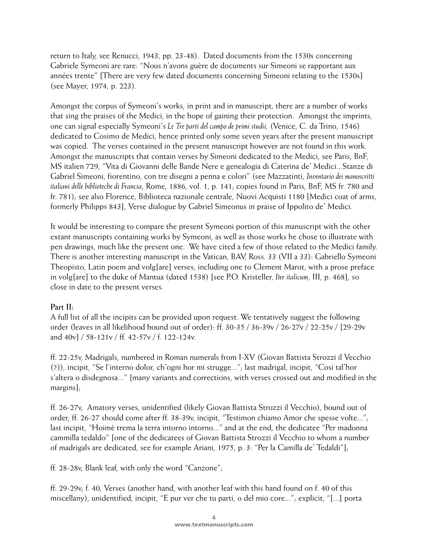return to Italy, see Renucci, 1943, pp. 23-48). Dated documents from the 1530s concerning Gabriele Symeoni are rare: "Nous n'avons guère de documents sur Simeoni se rapportant aux années trente" [There are very few dated documents concerning Simeoni relating to the 1530s] (see Mayer, 1974, p. 223).

Amongst the corpus of Symeoni's works, in print and in manuscript, there are a number of works that sing the praises of the Medici, in the hope of gaining their protection. Amongst the imprints, one can signal especially Symeoni's *Le Tre parti del campo de primi studii,* (Venice, C. da Trino, 1546) dedicated to Cosimo de Medici, hence printed only some seven years after the present manuscript was copied. The verses contained in the present manuscript however are not found in this work. Amongst the manuscripts that contain verses by Simeoni dedicated to the Medici, see Paris, BnF, MS italien 729, "Vita di Giovanni delle Bande Nere e genealogia di Caterina de' Medici...Stanze di Gabriel Simeoni, fiorentino, con tre disegni a penna e colori" (see Mazzatinti, *Inventario dei manoscritti italiani delle biblioteche di Francia*, Rome, 1886, vol. 1, p. 141; copies found in Paris, BnF, MS fr. 780 and fr. 781); see also Florence, Biblioteca nazionale centrale, Nuovi Acquisti 1180 [Medici coat of arms, formerly Philipps 843], Verse dialogue by Gabriel Simeonus in praise of Ippolito de' Medici.

It would be interesting to compare the present Symeoni portion of this manuscript with the other extant manuscripts containing works by Symeoni, as well as those works he chose to illustrate with pen drawings, much like the present one. We have cited a few of those related to the Medici family. There is another interesting manuscript in the Vatican, BAV, Ross. 33 (VII a 33): Gabriello Symeoni Theopisto, Latin poem and volg[are] verses, including one to Clement Marot, with a prose preface in volg[are] to the duke of Mantua (dated 1538) [see P.O. Kristeller, *Iter italicum*, III, p. 468], so close in date to the present verses.

## **Part II:**

A full list of all the incipits can be provided upon request. We tentatively suggest the following order (leaves in all likelihood bound out of order): ff. 30-35 / 36-39v / 26-27v / 22-25v / [29-29v and 40v] / 58-121v / ff. 42-57v / f. 122-124v.

ff. 22-25v, Madrigals, numbered in Roman numerals from I-XV (Giovan Battista Strozzi il Vecchio (?)), incipit, "Se l'interno dolor, ch'ogni hor mi strugge..."; last madrigal, incipit, "Cosi tal'hor s'altera o disdegnosa..." [many variants and corrections, with verses crossed out and modified in the margins];

ff. 26-27v, Amatory verses, unidentified (likely Giovan Battista Strozzi il Vecchio), bound out of order, ff. 26-27 should come after ff. 38-39v, incipit, "Testimon chiamo Amor che spesse volte..."; last incipit, "Hoimè trema la terra intorno intorno..." and at the end, the dedicatee "Per madonna cammilla tedaldo" [one of the dedicatees of Giovan Battista Strozzi il Vecchio to whom a number of madrigals are dedicated, see for example Ariani, 1975, p. 3: "Per la Camilla de' Tedaldi"];

ff. 28-28v, Blank leaf, with only the word "Canzone";

ff. 29-29v; f. 40, Verses (another hand, with another leaf with this hand found on f. 40 of this miscellany), unidentified, incipit, "E pur ver che tu parti, o del mio core..."; explicit, "[...] porta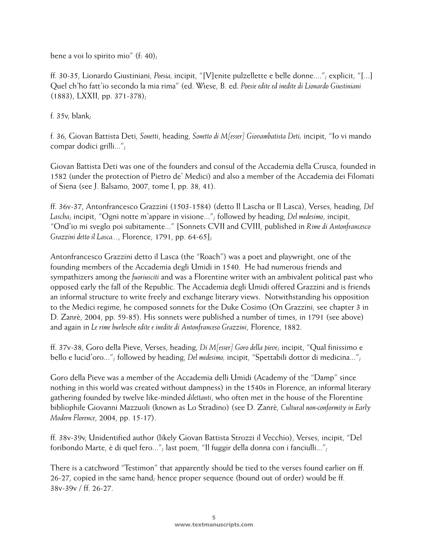bene a voi lo spirito mio" (f: 40);

ff. 30-35, Lionardo Giustiniani, *Poesia,* incipit, "[V]enite pulzellette e belle donne...."; explicit, "[...] Quel ch'ho fatt'io secondo la mia rima" (ed. Wiese, B. ed. *Poesie edite ed inedite di Lionardo Giustiniani* (1883), LXXII, pp. 371-378);

f. 35v, blank;

f. 36, Giovan Battista Deti, *Sonetti*, heading, *Sonetto di M[esser] Giovambatista Deti;* incipit, "Io vi mando compar dodici grilli...";

Giovan Battista Deti was one of the founders and consul of the Accademia della Crusca, founded in 1582 (under the protection of Pietro de' Medici) and also a member of the Accademia dei Filomati of Siena (see J. Balsamo, 2007, tome I, pp. 38, 41).

ff. 36v-37, Antonfrancesco Grazzini (1503-1584) (detto Il Lascha or Il Lasca), Verses, heading, *Del Lascha*; incipit, "Ogni notte m'appare in visione..."; followed by heading, *Del medesimo*, incipit, "Ond'io mi sveglo poi subitamente..." [Sonnets CVII and CVIII, published in *Rime di Antonfrancesco Grazzini detto il Lasca...*, Florence, 1791, pp. 64-65];

Antonfrancesco Grazzini detto il Lasca (the "Roach") was a poet and playwright, one of the founding members of the Accademia degli Umidi in 1540. He had numerous friends and sympathizers among the *fuoriusciti* and was a Florentine writer with an ambivalent political past who opposed early the fall of the Republic. The Accademia degli Umidi offered Grazzini and is friends an informal structure to write freely and exchange literary views. Notwithstanding his opposition to the Medici regime, he composed sonnets for the Duke Cosimo (On Grazzini, see chapter 3 in D. Zanrè, 2004, pp. 59-85). His sonnets were published a number of times, in 1791 (see above) and again in *Le rime burlesche edite e inedite di Antonfranceso Grazzini*, Florence, 1882.

ff. 37v-38, Goro della Pieve, Verses, heading, *Di M[esser] Goro della pieve*; incipit, "Qual finissimo e bello e lucid'oro..."; followed by heading, *Del medesimo,* incipit, "Spettabili dottor di medicina...";

Goro della Pieve was a member of the Accademia delli Umidi (Academy of the "Damp" since nothing in this world was created without dampness) in the 1540s in Florence, an informal literary gathering founded by twelve like-minded *dilettanti*, who often met in the house of the Florentine bibliophile Giovanni Mazzuoli (known as Lo Stradino) (see D. Zanrè, *Cultural non-conformity in Early Modern Florence*, 2004, pp. 15-17).

ff. 38v-39v, Unidentified author (likely Giovan Battista Strozzi il Vecchio), Verses, incipit, "Del foribondo Marte, è di quel fero..."; last poem, "Il fuggir della donna con i fanciulli...";

There is a catchword "Testimon" that apparently should be tied to the verses found earlier on ff. 26-27, copied in the same hand; hence proper sequence (bound out of order) would be ff. 38v-39v / ff. 26-27.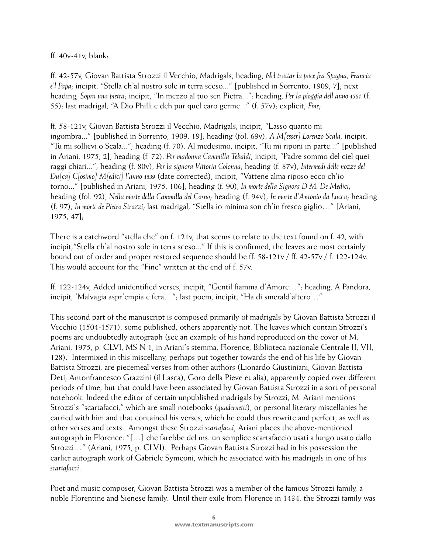### ff. 40v-41v, blank;

ff. 42-57v, Giovan Battista Strozzi il Vecchio, Madrigals, heading, *Nel trattar la pace fra Spagna, Francia e'l Papa*; incipit, "Stella ch'al nostro sole in terra sceso..." [published in Sorrento, 1909, 7]; next heading, *Sopra una pietra*; incipit, "In mezzo al tuo sen Pietra..."; heading, *Per la pioggia dell anno 1561* (f. 55); last madrigal, "A Dio Philli e deh pur quel caro germe..." (f. 57v); explicit, *Fine*;

ff. 58-121v, Giovan Battista Strozzi il Vecchio, Madrigals, incipit, "Lasso quanto mi ingombra..." [published in Sorrento, 1909, 19]; heading (fol. 69v), *A M[esser] Lorenzo Scala,* incipit, "Tu mi sollievi o Scala..."; heading (f. 70), Al medesimo, incipit, "Tu mi riponi in parte..." [published in Ariani, 1975, 2]; heading (f. 72), *Per madonna Cammilla Tebaldi*, incipit, "Padre sommo del ciel quei raggi chiari..."; heading (f. 80v), *Per la signora Vittoria Colonna*; heading (f. 87v), *Intermedi delle nozze del Du[ca] C[osimo] M[edici] l'anno 1539* (date corrected), incipit, "Vattene alma riposo ecco ch'io torno..." [published in Ariani, 1975, 106]; heading (f. 90), *In morte della Signora D.M. De Medici*; heading (fol. 92), *Nella morte della Cammilla del Corno*; heading (f. 94v), *In morte d'Antonio da Lucca*; heading (f. 97), *In morte de Pietro Strozzi*; last madrigal, "Stella io minima son ch'in fresco giglio…" [Ariani, 1975, 47];

There is a catchword "stella che" on f. 121v, that seems to relate to the text found on f. 42, with incipit,"Stella ch'al nostro sole in terra sceso..." If this is confirmed, the leaves are most certainly bound out of order and proper restored sequence should be ff. 58-121v / ff. 42-57v / f. 122-124v. This would account for the "Fine" written at the end of f. 57v.

ff. 122-124v, Added unidentified verses, incipit, "Gentil fiamma d'Amore…"; heading, A Pandora, incipit, 'Malvagia aspr'empia e fera…"; last poem, incipit, "Ha di smerald'altero…"

This second part of the manuscript is composed primarily of madrigals by Giovan Battista Strozzi il Vecchio (1504-1571), some published, others apparently not. The leaves which contain Strozzi's poems are undoubtedly autograph (see an example of his hand reproduced on the cover of M. Ariani, 1975, p. CLVI, MS N 1, in Ariani's stemma, Florence, Biblioteca nazionale Centrale II, VII, 128). Intermixed in this miscellany, perhaps put together towards the end of his life by Giovan Battista Strozzi, are piecemeal verses from other authors (Lionardo Giustiniani, Giovan Battista Deti, Antonfrancesco Grazzini (il Lasca), Goro della Pieve et alia), apparently copied over different periods of time, but that could have been associated by Giovan Battista Strozzi in a sort of personal notebook. Indeed the editor of certain unpublished madrigals by Strozzi, M. Ariani mentions Strozzi's "scartafacci," which are small notebooks (*quadernetti*), or personal literary miscellanies he carried with him and that contained his verses, which he could thus rewrite and perfect, as well as other verses and texts. Amongst these Strozzi *scartafacci*, Ariani places the above-mentioned autograph in Florence: "[…] che farebbe del ms. un semplice scartafaccio usati a lungo usato dallo Strozzi…" (Ariani, 1975, p. CLVI). Perhaps Giovan Battista Strozzi had in his possession the earlier autograph work of Gabriele Symeoni, which he associated with his madrigals in one of his *scartafacci*.

Poet and music composer, Giovan Battista Strozzi was a member of the famous Strozzi family, a noble Florentine and Sienese family. Until their exile from Florence in 1434, the Strozzi family was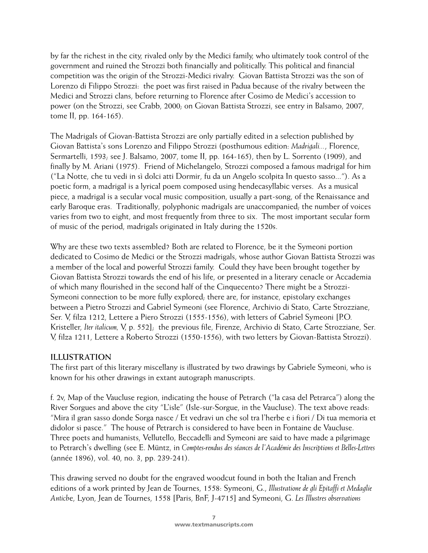by far the richest in the city, rivaled only by the Medici family, who ultimately took control of the government and ruined the Strozzi both financially and politically. This political and financial competition was the origin of the Strozzi-Medici rivalry. Giovan Battista Strozzi was the son of Lorenzo di Filippo Strozzi: the poet was first raised in Padua because of the rivalry between the Medici and Strozzi clans, before returning to Florence after Cosimo de Medici's accession to power (on the Strozzi, see Crabb, 2000; on Giovan Battista Strozzi, see entry in Balsamo, 2007, tome II, pp. 164-165).

The Madrigals of Giovan-Battista Strozzi are only partially edited in a selection published by Giovan Battista's sons Lorenzo and Filippo Strozzi (posthumous edition: *Madrigali...*, Florence, Sermartelli, 1593; see J. Balsamo, 2007, tome II, pp. 164-165), then by L. Sorrento (1909), and finally by M. Ariani (1975). Friend of Michelangelo, Strozzi composed a famous madrigal for him ("La Notte, che tu vedi in sì dolci atti Dormir, fu da un Angelo scolpita In questo sasso..."). As a poetic form, a madrigal is a lyrical poem composed using hendecasyllabic verses. As a musical piece, a madrigal is a secular vocal music composition, usually a part-song, of the Renaissance and early Baroque eras. Traditionally, polyphonic madrigals are unaccompanied; the number of voices varies from two to eight, and most frequently from three to six. The most important secular form of music of the period, madrigals originated in Italy during the 1520s.

Why are these two texts assembled? Both are related to Florence, be it the Symeoni portion dedicated to Cosimo de Medici or the Strozzi madrigals, whose author Giovan Battista Strozzi was a member of the local and powerful Strozzi family. Could they have been brought together by Giovan Battista Strozzi towards the end of his life, or presented in a literary cenacle or Accademia of which many flourished in the second half of the Cinquecento? There might be a Strozzi-Symeoni connection to be more fully explored; there are, for instance, epistolary exchanges between a Pietro Strozzi and Gabriel Symeoni (see Florence, Archivio di Stato, Carte Strozziane, Ser. V, filza 1212, Lettere a Piero Strozzi (1555-1556), with letters of Gabriel Symeoni [P.O. Kristeller, *Iter italicum,* V, p. 552]; the previous file, Firenze, Archivio di Stato, Carte Strozziane, Ser. V, filza 1211, Lettere a Roberto Strozzi (1550-1556), with two letters by Giovan-Battista Strozzi).

## **ILLUSTRATION**

The first part of this literary miscellany is illustrated by two drawings by Gabriele Symeoni, who is known for his other drawings in extant autograph manuscripts.

f. 2v, Map of the Vaucluse region, indicating the house of Petrarch ("la casa del Petrarca") along the River Sorgues and above the city "L'isle" (Isle-sur-Sorgue, in the Vaucluse). The text above reads: "Mira il gran sasso donde Sorga nasce / Et vedravi un che sol tra l'herbe e i fiori / Di tua memoria et didolor si pasce." The house of Petrarch is considered to have been in Fontaine de Vaucluse. Three poets and humanists, Vellutello, Beccadelli and Symeoni are said to have made a pilgrimage to Petrarch's dwelling (see E. Müntz, in *Comptes-rendus des séances de l'Académie des Inscriptions et Belles-Lettres* (année 1896), vol. 40, no. 3, pp. 239-241).

This drawing served no doubt for the engraved woodcut found in both the Italian and French editions of a work printed by Jean de Tournes, 1558: Symeoni, G., *Illustratione de gli Epitaffi et Medaglie Antich*e, Lyon, Jean de Tournes, 1558 [Paris, BnF, J-4715] and Symeoni, G. *Les Illustres observations*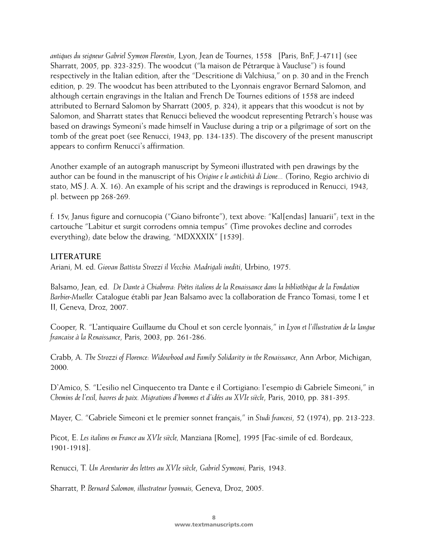*antiques du seigneur Gabriel Symeon Florentin*, Lyon, Jean de Tournes, 1558 [Paris, BnF, J-4711] (see Sharratt, 2005, pp. 323-325). The woodcut ("la maison de Pétrarque à Vaucluse") is found respectively in the Italian edition, after the "Descritione di Valchiusa," on p. 30 and in the French edition, p. 29. The woodcut has been attributed to the Lyonnais engravor Bernard Salomon, and although certain engravings in the Italian and French De Tournes editions of 1558 are indeed attributed to Bernard Salomon by Sharratt (2005, p. 324), it appears that this woodcut is not by Salomon, and Sharratt states that Renucci believed the woodcut representing Petrarch's house was based on drawings Symeoni's made himself in Vaucluse during a trip or a pilgrimage of sort on the tomb of the great poet (see Renucci, 1943, pp. 134-135). The discovery of the present manuscript appears to confirm Renucci's affirmation.

Another example of an autograph manuscript by Symeoni illustrated with pen drawings by the author can be found in the manuscript of his *Origine e le antichità di Lione...* (Torino, Regio archivio di stato, MS J. A. X. 16). An example of his script and the drawings is reproduced in Renucci, 1943, pl. between pp 268-269.

f. 15v, Janus figure and cornucopia ("Giano bifronte"), text above: "Kal[endas] Ianuarii"; text in the cartouche "Labitur et surgit corrodens omnia tempus" (Time provokes decline and corrodes everything); date below the drawing, "MDXXXIX" [1539].

#### **LITERATURE**

Ariani, M. ed. *Giovan Battista Strozzi il Vecchio. Madrigali inediti*, Urbino, 1975.

Balsamo, Jean, ed. *De Dante à Chiabrera: Poètes italiens de la Renaissance dans la bibliothèque de la Fondation Barbier-Mueller.* Catalogue établi par Jean Balsamo avec la collaboration de Franco Tomasi, tome I et II, Geneva, Droz, 2007.

Cooper, R. "L'antiquaire Guillaume du Choul et son cercle lyonnais," in *Lyon et l'illustration de la langue francaise à la Renaissance*, Paris, 2003, pp. 261-286.

Crabb, A. *The Strozzi of Florence: Widowhood and Family Solidarity in the Renaissance*, Ann Arbor, Michigan, 2000.

D'Amico, S. "L'esilio nel Cinquecento tra Dante e il Cortigiano: l'esempio di Gabriele Simeoni," in *Chemins de l'exil, havres de paix. Migrations d'hommes et d'idées au XVIe siècle*, Paris, 2010, pp. 381-395.

Mayer, C. "Gabriele Simeoni et le premier sonnet français," in *Studi francesi*, 52 (1974), pp. 213-223.

Picot, E. *Les italiens en France au XVIe siècle,* Manziana [Rome], 1995 [Fac-simile of ed. Bordeaux, 1901-1918].

Renucci, T. *Un Aventurier des lettres au XVIe siècle*, *Gabriel Symeoni,* Paris, 1943.

Sharratt, P. *Bernard Salomon, illustrateur lyonnais,* Geneva, Droz, 2005.